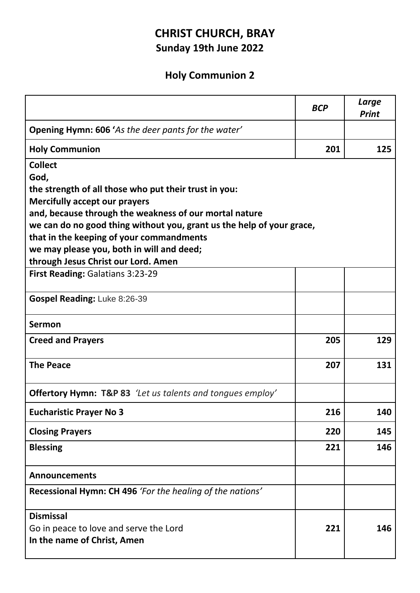## **CHRIST CHURCH, BRAY Sunday 19th June 2022**

## **Holy Communion 2**

|                                                                                       | <b>BCP</b> | Large<br><b>Print</b> |
|---------------------------------------------------------------------------------------|------------|-----------------------|
| <b>Opening Hymn: 606 'As the deer pants for the water'</b>                            |            |                       |
| <b>Holy Communion</b>                                                                 | 201        | 125                   |
| <b>Collect</b>                                                                        |            |                       |
| God,                                                                                  |            |                       |
| the strength of all those who put their trust in you:                                 |            |                       |
| <b>Mercifully accept our prayers</b>                                                  |            |                       |
| and, because through the weakness of our mortal nature                                |            |                       |
| we can do no good thing without you, grant us the help of your grace,                 |            |                       |
| that in the keeping of your commandments<br>we may please you, both in will and deed; |            |                       |
| through Jesus Christ our Lord. Amen                                                   |            |                       |
| First Reading: Galatians 3:23-29                                                      |            |                       |
|                                                                                       |            |                       |
| Gospel Reading: Luke 8:26-39                                                          |            |                       |
| <b>Sermon</b>                                                                         |            |                       |
| <b>Creed and Prayers</b>                                                              | 205        | 129                   |
| <b>The Peace</b>                                                                      | 207        | 131                   |
| <b>Offertory Hymn: T&amp;P 83</b> 'Let us talents and tongues employ'                 |            |                       |
| <b>Eucharistic Prayer No 3</b>                                                        | 216        | 140                   |
| <b>Closing Prayers</b>                                                                | 220        | 145                   |
| <b>Blessing</b>                                                                       | 221        | 146                   |
| <b>Announcements</b>                                                                  |            |                       |
| Recessional Hymn: CH 496 'For the healing of the nations'                             |            |                       |
| <b>Dismissal</b>                                                                      |            |                       |
| Go in peace to love and serve the Lord                                                | 221        | 146                   |
| In the name of Christ, Amen                                                           |            |                       |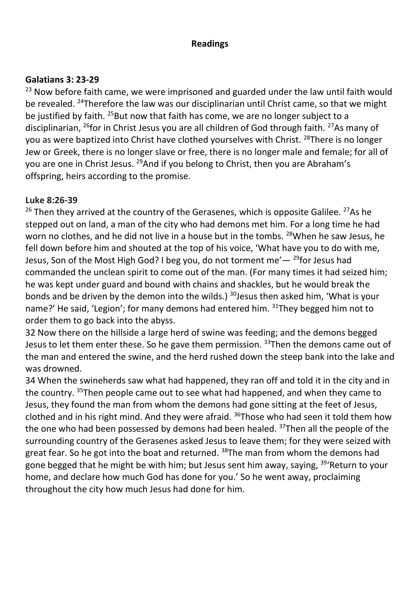#### **Readings**

#### **Galatians 3: 23-29**

<sup>23</sup> Now before faith came, we were imprisoned and guarded under the law until faith would be revealed. <sup>24</sup>Therefore the law was our disciplinarian until Christ came, so that we might be justified by faith. <sup>25</sup>But now that faith has come, we are no longer subject to a disciplinarian, <sup>26</sup>for in Christ Jesus you are all children of God through faith. <sup>27</sup>As many of you as were baptized into Christ have clothed yourselves with Christ. <sup>28</sup>There is no longer Jew or Greek, there is no longer slave or free, there is no longer male and female; for all of you are one in Christ Jesus. <sup>29</sup>And if you belong to Christ, then you are Abraham's offspring, heirs according to the promise.

#### **Luke 8:26-39**

 $26$  Then they arrived at the country of the Gerasenes, which is opposite Galilee.  $27$ As he stepped out on land, a man of the city who had demons met him. For a long time he had worn no clothes, and he did not live in a house but in the tombs. <sup>28</sup>When he saw Jesus, he fell down before him and shouted at the top of his voice, 'What have you to do with me, Jesus, Son of the Most High God? I beg you, do not torment me'  $-$  <sup>29</sup>for Jesus had commanded the unclean spirit to come out of the man. (For many times it had seized him; he was kept under guard and bound with chains and shackles, but he would break the bonds and be driven by the demon into the wilds.)  $30$  Jesus then asked him, 'What is your name?' He said, 'Legion'; for many demons had entered him. 31They begged him not to order them to go back into the abyss.

32 Now there on the hillside a large herd of swine was feeding; and the demons begged Jesus to let them enter these. So he gave them permission. <sup>33</sup>Then the demons came out of the man and entered the swine, and the herd rushed down the steep bank into the lake and was drowned.

34 When the swineherds saw what had happened, they ran off and told it in the city and in the country. <sup>35</sup>Then people came out to see what had happened, and when they came to Jesus, they found the man from whom the demons had gone sitting at the feet of Jesus, clothed and in his right mind. And they were afraid.  $36$ Those who had seen it told them how the one who had been possessed by demons had been healed. <sup>37</sup>Then all the people of the surrounding country of the Gerasenes asked Jesus to leave them; for they were seized with great fear. So he got into the boat and returned. <sup>38</sup>The man from whom the demons had gone begged that he might be with him; but Jesus sent him away, saying, <sup>39</sup>'Return to your home, and declare how much God has done for you.' So he went away, proclaiming throughout the city how much Jesus had done for him.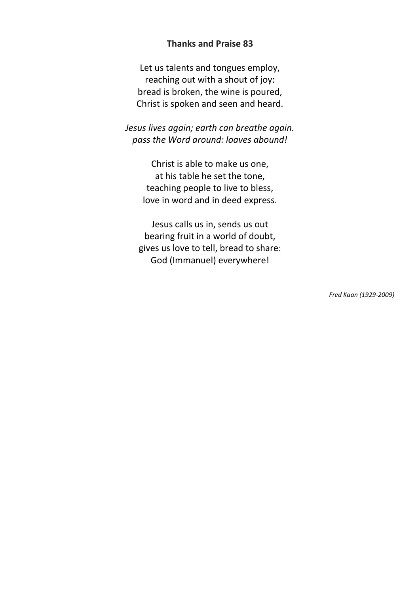#### **Thanks and Praise 83**

Let us talents and tongues employ, reaching out with a shout of joy: bread is broken, the wine is poured, Christ is spoken and seen and heard.

*Jesus lives again; earth can breathe again. pass the Word around: loaves abound!*

> Christ is able to make us one, at his table he set the tone, teaching people to live to bless, love in word and in deed express.

Jesus calls us in, sends us out bearing fruit in a world of doubt, gives us love to tell, bread to share: God (Immanuel) everywhere!

*Fred Kaan (1929-2009)*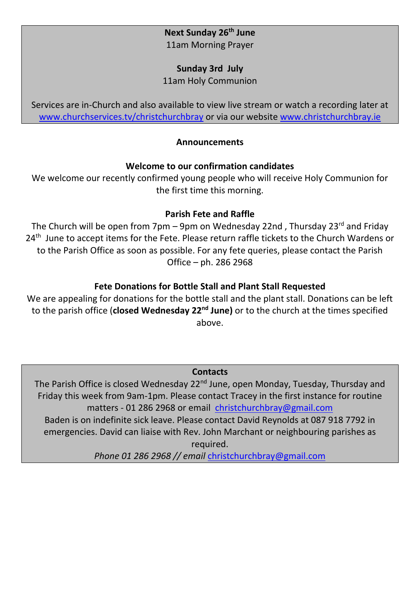#### **Next Sunday 26th June** 11am Morning Prayer

#### **Sunday 3rd July**

11am Holy Communion

Services are in-Church and also available to view live stream or watch a recording later at [www.churchservices.tv/christchurchbray](http://www.churchservices.tv/christchurchbray) or via our website [www.christchurchbray.ie](http://www.christchurchbray.ie/)

#### **Announcements**

#### **Welcome to our confirmation candidates**

We welcome our recently confirmed young people who will receive Holy Communion for the first time this morning.

### **Parish Fete and Raffle**

The Church will be open from 7pm – 9pm on Wednesday 22nd, Thursday 23<sup>rd</sup> and Friday 24<sup>th</sup> June to accept items for the Fete. Please return raffle tickets to the Church Wardens or to the Parish Office as soon as possible. For any fete queries, please contact the Parish Office – ph. 286 2968

### **Fete Donations for Bottle Stall and Plant Stall Requested**

We are appealing for donations for the bottle stall and the plant stall. Donations can be left to the parish office (**closed Wednesday 22nd June)** or to the church at the times specified above.

#### **Contacts**

The Parish Office is closed Wednesday 22<sup>nd</sup> June, open Monday, Tuesday, Thursday and Friday this week from 9am-1pm. Please contact Tracey in the first instance for routine matters - 01 286 2968 or email [christchurchbray@gmail.com](mailto:christchurchbray@gmail.com) Baden is on indefinite sick leave. Please contact David Reynolds at 087 918 7792 in emergencies. David can liaise with Rev. John Marchant or neighbouring parishes as required.

*Phone 01 286 2968 // email* [christchurchbray@gmail.com](mailto:christchurchbray@gmail.com)